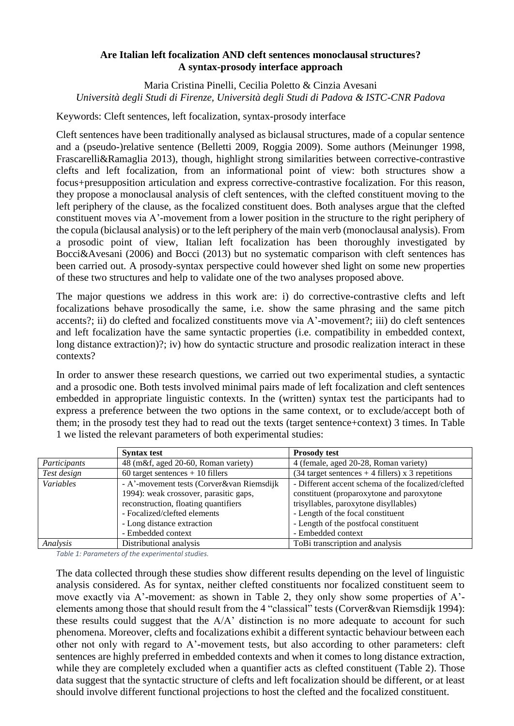## **Are Italian left focalization AND cleft sentences monoclausal structures? A syntax-prosody interface approach**

Maria Cristina Pinelli, Cecilia Poletto & Cinzia Avesani *Università degli Studi di Firenze, Università degli Studi di Padova & ISTC-CNR Padova*

Keywords: Cleft sentences, left focalization, syntax-prosody interface

Cleft sentences have been traditionally analysed as biclausal structures, made of a copular sentence and a (pseudo-)relative sentence (Belletti 2009, Roggia 2009). Some authors (Meinunger 1998, Frascarelli&Ramaglia 2013), though, highlight strong similarities between corrective-contrastive clefts and left focalization, from an informational point of view: both structures show a focus+presupposition articulation and express corrective-contrastive focalization. For this reason, they propose a monoclausal analysis of cleft sentences, with the clefted constituent moving to the left periphery of the clause, as the focalized constituent does. Both analyses argue that the clefted constituent moves via A'-movement from a lower position in the structure to the right periphery of the copula (biclausal analysis) or to the left periphery of the main verb (monoclausal analysis). From a prosodic point of view, Italian left focalization has been thoroughly investigated by Bocci&Avesani (2006) and Bocci (2013) but no systematic comparison with cleft sentences has been carried out. A prosody-syntax perspective could however shed light on some new properties of these two structures and help to validate one of the two analyses proposed above.

The major questions we address in this work are: i) do corrective-contrastive clefts and left focalizations behave prosodically the same, i.e. show the same phrasing and the same pitch accents?; ii) do clefted and focalized constituents move via A'-movement?; iii) do cleft sentences and left focalization have the same syntactic properties (i.e. compatibility in embedded context, long distance extraction)?; iv) how do syntactic structure and prosodic realization interact in these contexts?

In order to answer these research questions, we carried out two experimental studies, a syntactic and a prosodic one. Both tests involved minimal pairs made of left focalization and cleft sentences embedded in appropriate linguistic contexts. In the (written) syntax test the participants had to express a preference between the two options in the same context, or to exclude/accept both of them; in the prosody test they had to read out the texts (target sentence+context) 3 times. In [Table](#page-0-0)  [1](#page-0-0) we listed the relevant parameters of both experimental studies:

|                  | <b>Syntax test</b>                        | <b>Prosody test</b>                                                              |
|------------------|-------------------------------------------|----------------------------------------------------------------------------------|
| Participants     | 48 (m&f, aged 20-60, Roman variety)       | 4 (female, aged 20-28, Roman variety)                                            |
| Test design      | $60$ target sentences + 10 fillers        | $(34 \text{ target sentences} + 4 \text{ fillers}) \times 3 \text{ repetitions}$ |
| <i>Variables</i> | - A'-movement tests (Corver&van Riemsdijk | - Different accent schema of the focalized/clefted                               |
|                  | 1994): weak crossover, parasitic gaps,    | constituent (proparoxytone and paroxytone                                        |
|                  | reconstruction, floating quantifiers      | trisyllables, paroxytone disyllables)                                            |
|                  | - Focalized/clefted elements              | - Length of the focal constituent                                                |
|                  | - Long distance extraction                | - Length of the postfocal constituent                                            |
|                  | - Embedded context                        | - Embedded context                                                               |
| Analysis         | Distributional analysis                   | ToBi transcription and analysis                                                  |

<span id="page-0-0"></span>*Table 1: Parameters of the experimental studies.*

The data collected through these studies show different results depending on the level of linguistic analysis considered. As for syntax, neither clefted constituents nor focalized constituent seem to move exactly via A'-movement: as shown in [Table 2,](#page-1-0) they only show some properties of A' elements among those that should result from the 4 "classical" tests (Corver&van Riemsdijk 1994): these results could suggest that the  $A/A$ <sup>t</sup> distinction is no more adequate to account for such phenomena. Moreover, clefts and focalizations exhibit a different syntactic behaviour between each other not only with regard to A'-movement tests, but also according to other parameters: cleft sentences are highly preferred in embedded contexts and when it comes to long distance extraction, while they are completely excluded when a quantifier acts as clefted constituent [\(Table 2\)](#page-1-0). Those data suggest that the syntactic structure of clefts and left focalization should be different, or at least should involve different functional projections to host the clefted and the focalized constituent.